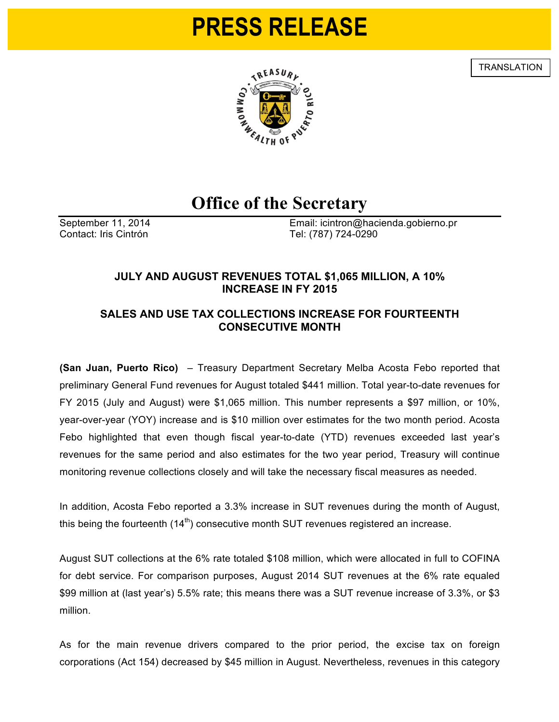# **PRESS RELEASE**

**TRANSLATION** 



# **Office of the Secretary**

Contact: Iris Cintrón **Tel:** (787) 724-0290

September 11, 2014 Email: icintron@hacienda.gobierno.pr

### **JULY AND AUGUST REVENUES TOTAL \$1,065 MILLION, A 10% INCREASE IN FY 2015**

## **SALES AND USE TAX COLLECTIONS INCREASE FOR FOURTEENTH CONSECUTIVE MONTH**

**(San Juan, Puerto Rico)** – Treasury Department Secretary Melba Acosta Febo reported that preliminary General Fund revenues for August totaled \$441 million. Total year-to-date revenues for FY 2015 (July and August) were \$1,065 million. This number represents a \$97 million, or 10%, year-over-year (YOY) increase and is \$10 million over estimates for the two month period. Acosta Febo highlighted that even though fiscal year-to-date (YTD) revenues exceeded last year's revenues for the same period and also estimates for the two year period, Treasury will continue monitoring revenue collections closely and will take the necessary fiscal measures as needed.

In addition, Acosta Febo reported a 3.3% increase in SUT revenues during the month of August, this being the fourteenth  $(14<sup>th</sup>)$  consecutive month SUT revenues registered an increase.

August SUT collections at the 6% rate totaled \$108 million, which were allocated in full to COFINA for debt service. For comparison purposes, August 2014 SUT revenues at the 6% rate equaled \$99 million at (last year's) 5.5% rate; this means there was a SUT revenue increase of 3.3%, or \$3 million.

As for the main revenue drivers compared to the prior period, the excise tax on foreign corporations (Act 154) decreased by \$45 million in August. Nevertheless, revenues in this category